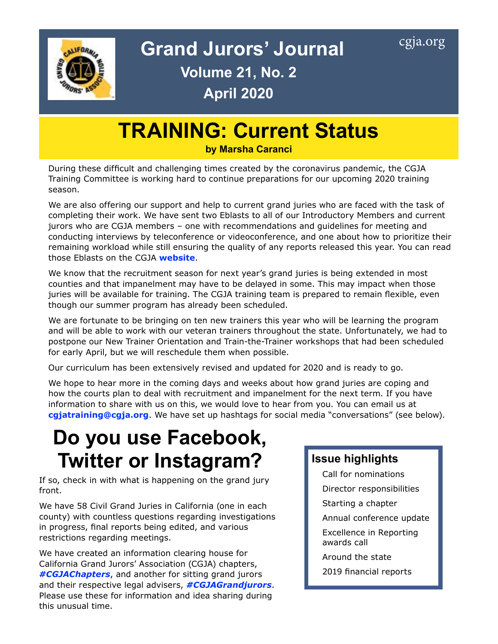

# Grand Jurors' Journal [cgja.org](http://cgja.org) **Volume 21, No. 2 April 2020**

**TRAINING: Current Status**

**by Marsha Caranci**

During these difficult and challenging times created by the coronavirus pandemic, the CGJA Training Committee is working hard to continue preparations for our upcoming 2020 training season.

We are also offering our support and help to current grand juries who are faced with the task of completing their work. We have sent two Eblasts to all of our Introductory Members and current jurors who are CGJA members – one with recommendations and guidelines for meeting and conducting interviews by teleconference or videoconference, and one about how to prioritize their remaining workload while still ensuring the quality of any reports released this year. You can read those Eblasts on the CGJA **[website](https://cgja.org/coronavirus-guidelines)**.

We know that the recruitment season for next year's grand juries is being extended in most counties and that impanelment may have to be delayed in some. This may impact when those juries will be available for training. The CGJA training team is prepared to remain flexible, even though our summer program has already been scheduled.

We are fortunate to be bringing on ten new trainers this year who will be learning the program and will be able to work with our veteran trainers throughout the state. Unfortunately, we had to postpone our New Trainer Orientation and Train-the-Trainer workshops that had been scheduled for early April, but we will reschedule them when possible.

Our curriculum has been extensively revised and updated for 2020 and is ready to go.

We hope to hear more in the coming days and weeks about how grand juries are coping and how the courts plan to deal with recruitment and impanelment for the next term. If you have information to share with us on this, we would love to hear from you. You can email us at **[cgjatraining@cgja.org](mailto:cgjatraining@cgja.org?SUBJECT=CGJA Training)**. We have set up hashtags for social media "conversations" (see below).

# **Do you use Facebook, Twitter or Instagram?** Subsue highlights

If so, check in with what is happening on the grand jury front.

We have 58 Civil Grand Juries in California (one in each county) with countless questions regarding investigations in progress, final reports being edited, and various restrictions regarding meetings.

We have created an information clearing house for California Grand Jurors' Association (CGJA) chapters, *[#CGJAChapters](https://www.facebook.com/hashtag/cgjachapters?source=feed_text&epa=HASHTAG)*, and another for sitting grand jurors and their respective legal advisers, *[#CGJAGrandjurors](https://www.facebook.com/hashtag/cgjagrandjurors?source=feed_text&epa=HASHTAG)*. Please use these for information and idea sharing during this unusual time.

Call for nominations

Director responsibilities

Starting a chapter

Annual conference update

Excellence in Reporting awards call

Around the state

2019 financial reports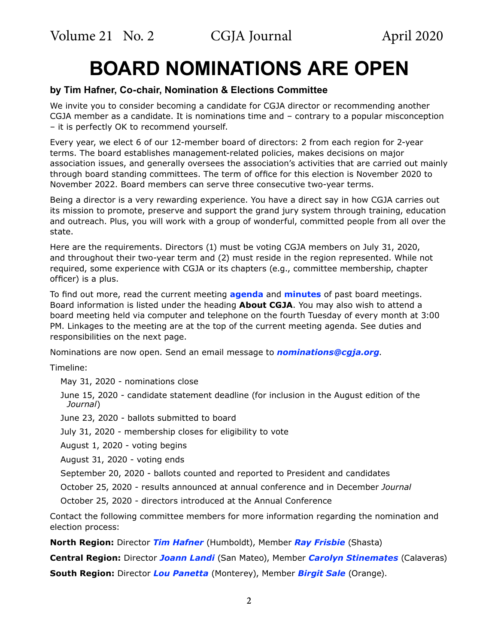Volume 21 No. 2 CGJA Journal April 2020

# **BOARD NOMINATIONS ARE OPEN**

### **by Tim Hafner, Co-chair, Nomination & Elections Committee**

We invite you to consider becoming a candidate for CGJA director or recommending another CGJA member as a candidate. It is nominations time and – contrary to a popular misconception – it is perfectly OK to recommend yourself.

Every year, we elect 6 of our 12-member board of directors: 2 from each region for 2-year terms. The board establishes management-related policies, makes decisions on major association issues, and generally oversees the association's activities that are carried out mainly through board standing committees. The term of office for this election is November 2020 to November 2022. Board members can serve three consecutive two-year terms.

Being a director is a very rewarding experience. You have a direct say in how CGJA carries out its mission to promote, preserve and support the grand jury system through training, education and outreach. Plus, you will work with a group of wonderful, committed people from all over the state.

Here are the requirements. Directors (1) must be voting CGJA members on July 31, 2020, and throughout their two-year term and (2) must reside in the region represented. While not required, some experience with CGJA or its chapters (e.g., committee membership, chapter officer) is a plus.

To find out more, read the current meeting **[agenda](https://cgja.org/current-agenda)** and **[minutes](https://cgja.org/board-minutes)** of past board meetings. Board information is listed under the heading **About CGJA**. You may also wish to attend a board meeting held via computer and telephone on the fourth Tuesday of every month at 3:00 PM. Linkages to the meeting are at the top of the current meeting agenda. See duties and responsibilities on the next page.

Nominations are now open. Send an email message to *[nominations@cgja.org](mailto:nominations%40cgja.org?subject=)*.

Timeline:

May 31, 2020 - nominations close

June 15, 2020 - candidate statement deadline (for inclusion in the August edition of the *Journal*)

June 23, 2020 - ballots submitted to board

July 31, 2020 - membership closes for eligibility to vote

August 1, 2020 - voting begins

August 31, 2020 - voting ends

September 20, 2020 - ballots counted and reported to President and candidates

October 25, 2020 - results announced at annual conference and in December *Journal* 

October 25, 2020 - directors introduced at the Annual Conference

Contact the following committee members for more information regarding the nomination and election process:

**North Region:** Director *[Tim Hafner](mailto:timoh49%40gmail.com?subject=CGJA%20Nominations%20and%20Elections%20Committee)* (Humboldt), Member *[Ray Frisbie](mailto:frisaus%40hotmail.com?subject=CGJA%20Nominations%20and%20Elections%20Committee)* (Shasta)

**Central Region:** Director *[Joann Landi](mailto:joannelandi%40aol.com?subject=CGJA%20Nominations%20and%20Elections%20Committee)* (San Mateo), Member *[Carolyn Stinemates](mailto:californialittleone%40yahoo.com?subject=CGJA%20Nominations%20and%20Elections%20Committee)* (Calaveras)

**South Region:** Director *[Lou Panetta](mailto:lpanetta%40yahoo.com?subject=CGJA%20Nominations%20and%20Elections%20Committee)* (Monterey), Member *[Birgit Sale](mailto:Bmalibuu2%40gmail.com?subject=CGJA%20Nominations%20and%20Elections%20Committee)* (Orange).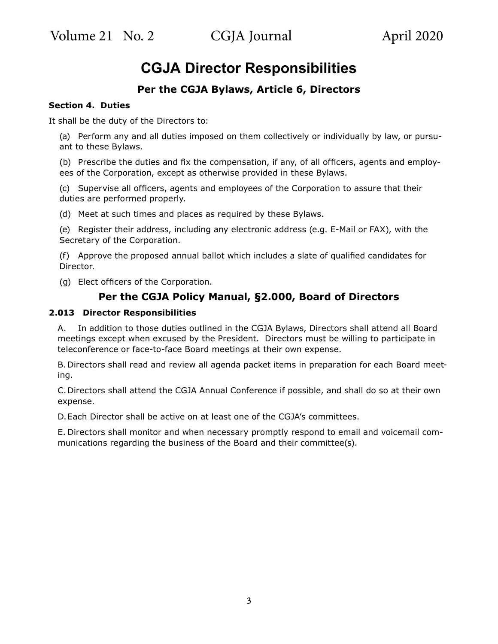# **CGJA Director Responsibilities**

### **Per the CGJA Bylaws, Article 6, Directors**

#### **Section 4. Duties**

It shall be the duty of the Directors to:

(a) Perform any and all duties imposed on them collectively or individually by law, or pursuant to these Bylaws.

(b) Prescribe the duties and fix the compensation, if any, of all officers, agents and employees of the Corporation, except as otherwise provided in these Bylaws.

(c) Supervise all officers, agents and employees of the Corporation to assure that their duties are performed properly.

(d) Meet at such times and places as required by these Bylaws.

(e) Register their address, including any electronic address (e.g. E-Mail or FAX), with the Secretary of the Corporation.

(f) Approve the proposed annual ballot which includes a slate of qualified candidates for Director.

(g) Elect officers of the Corporation.

### **Per the CGJA Policy Manual, §2.000, Board of Directors**

### **2.013 Director Responsibilities**

A. In addition to those duties outlined in the CGJA Bylaws, Directors shall attend all Board meetings except when excused by the President. Directors must be willing to participate in teleconference or face-to-face Board meetings at their own expense.

B. Directors shall read and review all agenda packet items in preparation for each Board meeting.

C.Directors shall attend the CGJA Annual Conference if possible, and shall do so at their own expense.

D.Each Director shall be active on at least one of the CGJA's committees.

E. Directors shall monitor and when necessary promptly respond to email and voicemail communications regarding the business of the Board and their committee(s).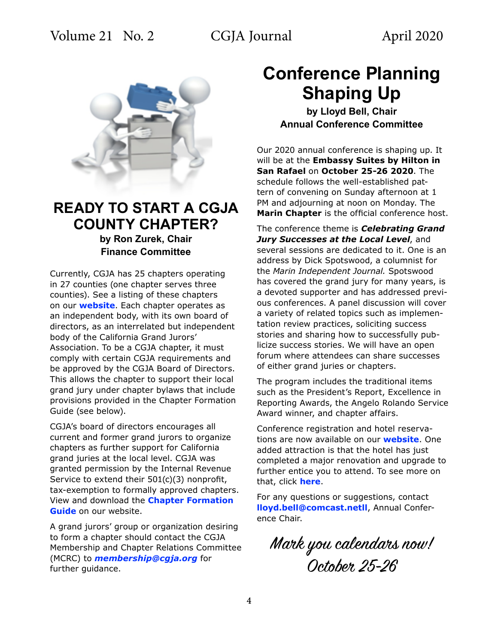

# **READY TO START A CGJA COUNTY CHAPTER? by Ron Zurek, Chair Finance Committee**

Currently, CGJA has 25 chapters operating in 27 counties (one chapter serves three counties). See a listing of these chapters on our **[website](https://cgja.org/chapters-and-associations)**. Each chapter operates as an independent body, with its own board of directors, as an interrelated but independent body of the California Grand Jurors' Association. To be a CGJA chapter, it must comply with certain CGJA requirements and be approved by the CGJA Board of Directors. This allows the chapter to support their local grand jury under chapter bylaws that include provisions provided in the Chapter Formation Guide (see below).

CGJA's board of directors encourages all current and former grand jurors to organize chapters as further support for California grand juries at the local level. CGJA was granted permission by the Internal Revenue Service to extend their 501(c)(3) nonprofit, tax-exemption to formally approved chapters. View and download the **[Chapter Formation](https://www.cgja.org/sites/default/files/ChapterFormationGuideRevMar2020.pdf)  [Guide](https://www.cgja.org/sites/default/files/ChapterFormationGuideRevMar2020.pdf)** on our website.

A grand jurors' group or organization desiring to form a chapter should contact the CGJA Membership and Chapter Relations Committee (MCRC) to *[membership@cgja.org](mailto:membership%40cgja.org?subject=)* for further guidance.

# **Conference Planning Shaping Up**

**by Lloyd Bell, Chair Annual Conference Committee**

Our 2020 annual conference is shaping up. It will be at the **Embassy Suites by Hilton in San Rafael** on **October 25-26 2020**. The schedule follows the well-established pattern of convening on Sunday afternoon at 1 PM and adjourning at noon on Monday. The **Marin Chapter** is the official conference host.

The conference theme is *Celebrating Grand Jury Successes at the Local Level*, and several sessions are dedicated to it. One is an address by Dick Spotswood, a columnist for the *Marin Independent Journal.* Spotswood has covered the grand jury for many years, is a devoted supporter and has addressed previous conferences. A panel discussion will cover a variety of related topics such as implementation review practices, soliciting success stories and sharing how to successfully publicize success stories. We will have an open forum where attendees can share successes of either grand juries or chapters.

The program includes the traditional items such as the President's Report, Excellence in Reporting Awards, the Angelo Rolando Service Award winner, and chapter affairs.

Conference registration and hotel reservations are now available on our **[website](https://cgja.org/annual-conference)**. One added attraction is that the hotel has just completed a major renovation and upgrade to further entice you to attend. To see more on that, click **[here](https://spark.adobe.com/page/NRGb5BJeMcS9a/)**.

For any questions or suggestions, contact **lloyd.bell@comcast.ne[tll](mailto:lloyd.bell%40comcast.net?subject=CGJA%20Annual%20Conference)**, Annual Conference Chair.

Mark you calendars now! October 25-26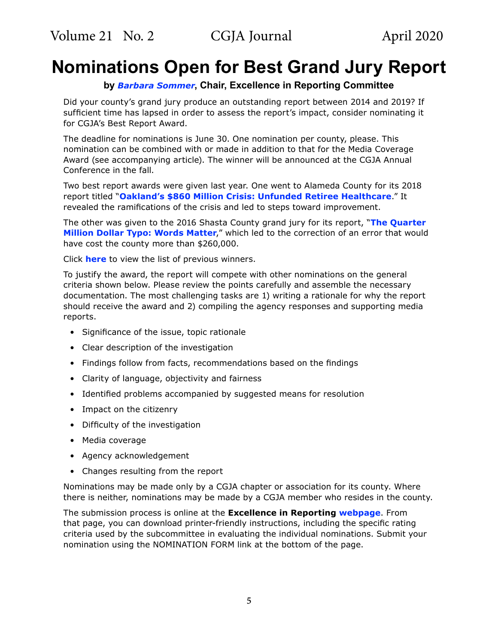# **Nominations Open for Best Grand Jury Report**

### **by** *[Barbara Sommer](mailto:basommer%40ucdavis.edu?subject=CGJA%20Best%20grand%20jury%20report)***, Chair, Excellence in Reporting Committee**

Did your county's grand jury produce an outstanding report between 2014 and 2019? If sufficient time has lapsed in order to assess the report's impact, consider nominating it for CGJA's Best Report Award.

The deadline for nominations is June 30. One nomination per county, please. This nomination can be combined with or made in addition to that for the Media Coverage Award (see accompanying article). The winner will be announced at the CGJA Annual Conference in the fall.

Two best report awards were given last year. One went to Alameda County for its 2018 report titled "**[Oakland's \\$860 Million Crisis: Unfunded Retiree Healthcare](http://grandjury.acgov.org/grandjury-assets/docs/2017-2018/GJ-FinalReport-2017-2018.pdf)**." It revealed the ramifications of the crisis and led to steps toward improvement.

The other was given to the 2016 Shasta County grand jury for its report, "**[The Quarter](https://www.co.shasta.ca.us/docs/libraries/grand-jury-docs/full-reports/2015-2016-full-report-and-responses.pdf?sfvrsn=cd78f889_0)  [Million Dollar Typo: Words Matter](https://www.co.shasta.ca.us/docs/libraries/grand-jury-docs/full-reports/2015-2016-full-report-and-responses.pdf?sfvrsn=cd78f889_0)**," which led to the correction of an error that would have cost the county more than \$260,000.

Click **[here](https://cgja.org/sites/default/files/2019_eir_past_awards.pdf)** to view the list of previous winners.

To justify the award, the report will compete with other nominations on the general criteria shown below. Please review the points carefully and assemble the necessary documentation. The most challenging tasks are 1) writing a rationale for why the report should receive the award and 2) compiling the agency responses and supporting media reports.

- Significance of the issue, topic rationale
- Clear description of the investigation
- Findings follow from facts, recommendations based on the findings
- Clarity of language, objectivity and fairness
- Identified problems accompanied by suggested means for resolution
- Impact on the citizenry
- Difficulty of the investigation
- Media coverage
- Agency acknowledgement
- Changes resulting from the report

Nominations may be made only by a CGJA chapter or association for its county. Where there is neither, nominations may be made by a CGJA member who resides in the county.

The submission process is online at the **Excellence in Reporting [webpage](https://cgja.org/excellence-reporting-award)**. From that page, you can download printer-friendly instructions, including the specific rating criteria used by the subcommittee in evaluating the individual nominations. Submit your nomination using the NOMINATION FORM link at the bottom of the page.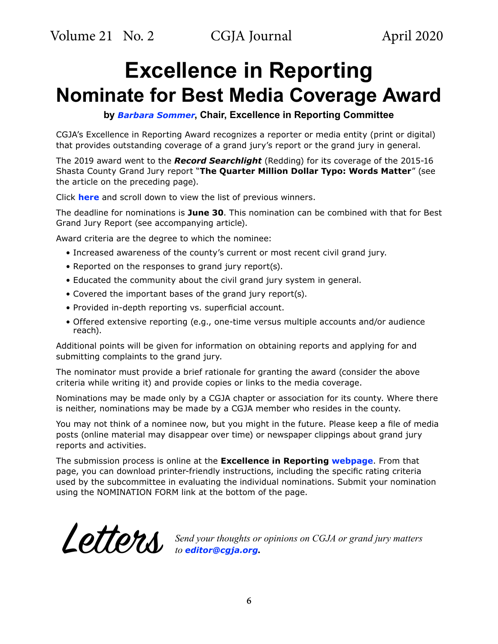# **Excellence in Reporting Nominate for Best Media Coverage Award**

**by** *[Barbara Sommer](mailto:basommer%40ucdavis.edu?subject=Best%20Media%20Coverage)***, Chair, Excellence in Reporting Committee**

CGJA's Excellence in Reporting Award recognizes a reporter or media entity (print or digital) that provides outstanding coverage of a grand jury's report or the grand jury in general.

The 2019 award went to the *Record Searchlight* (Redding) for its coverage of the 2015-16 Shasta County Grand Jury report "**The Quarter Million Dollar Typo: Words Matter**" (see the article on the preceding page).

Click **[here](https://cgja.org/sites/default/files/2019_eir_past_awards.pdf)** and scroll down to view the list of previous winners.

The deadline for nominations is **June 30**. This nomination can be combined with that for Best Grand Jury Report (see accompanying article).

Award criteria are the degree to which the nominee:

- Increased awareness of the county's current or most recent civil grand jury.
- Reported on the responses to grand jury report(s).
- Educated the community about the civil grand jury system in general.
- Covered the important bases of the grand jury report(s).
- Provided in-depth reporting vs. superficial account.
- Offered extensive reporting (e.g., one-time versus multiple accounts and/or audience reach).

Additional points will be given for information on obtaining reports and applying for and submitting complaints to the grand jury.

The nominator must provide a brief rationale for granting the award (consider the above criteria while writing it) and provide copies or links to the media coverage.

Nominations may be made only by a CGJA chapter or association for its county. Where there is neither, nominations may be made by a CGJA member who resides in the county.

You may not think of a nominee now, but you might in the future. Please keep a file of media posts (online material may disappear over time) or newspaper clippings about grand jury reports and activities.

The submission process is online at the **Excellence in Reporting [webpage](https://cgja.org/excellence-reporting-award)**. From that page, you can download printer-friendly instructions, including the specific rating criteria used by the subcommittee in evaluating the individual nominations. Submit your nomination using the NOMINATION FORM link at the bottom of the page.

Letters *Send your thoughts or opinions on CGJA or grand jury matters to [editor@cgja.org](mailto:editor%40cgja.org?subject=)***.**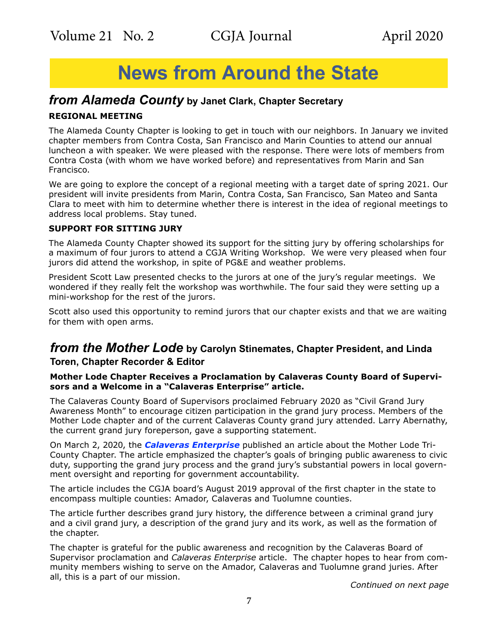# **News from Around the State**

# *from Alameda County* **by Janet Clark, Chapter Secretary**

### **REGIONAL MEETING**

The Alameda County Chapter is looking to get in touch with our neighbors. In January we invited chapter members from Contra Costa, San Francisco and Marin Counties to attend our annual luncheon a with speaker. We were pleased with the response. There were lots of members from Contra Costa (with whom we have worked before) and representatives from Marin and San Francisco.

We are going to explore the concept of a regional meeting with a target date of spring 2021. Our president will invite presidents from Marin, Contra Costa, San Francisco, San Mateo and Santa Clara to meet with him to determine whether there is interest in the idea of regional meetings to address local problems. Stay tuned.

### **SUPPORT FOR SITTING JURY**

The Alameda County Chapter showed its support for the sitting jury by offering scholarships for a maximum of four jurors to attend a CGJA Writing Workshop. We were very pleased when four jurors did attend the workshop, in spite of PG&E and weather problems.

President Scott Law presented checks to the jurors at one of the jury's regular meetings. We wondered if they really felt the workshop was worthwhile. The four said they were setting up a mini-workshop for the rest of the jurors.

Scott also used this opportunity to remind jurors that our chapter exists and that we are waiting for them with open arms.

### *from the Mother Lode* **by Carolyn Stinemates, Chapter President, and Linda Toren, Chapter Recorder & Editor**

#### **Mother Lode Chapter Receives a Proclamation by Calaveras County Board of Supervisors and a Welcome in a "Calaveras Enterprise" article.**

The Calaveras County Board of Supervisors proclaimed February 2020 as "Civil Grand Jury Awareness Month" to encourage citizen participation in the grand jury process. Members of the Mother Lode chapter and of the current Calaveras County grand jury attended. Larry Abernathy, the current grand jury foreperson, gave a supporting statement.

On March 2, 2020, the *[Calaveras Enterprise](http://www.calaverasenterprise.com/news/article_0d986516-58f4-11ea-9ea5-f37244e53123.html)* published an article about the Mother Lode Tri-County Chapter. The article emphasized the chapter's goals of bringing public awareness to civic duty, supporting the grand jury process and the grand jury's substantial powers in local government oversight and reporting for government accountability.

The article includes the CGJA board's August 2019 approval of the first chapter in the state to encompass multiple counties: Amador, Calaveras and Tuolumne counties.

The article further describes grand jury history, the difference between a criminal grand jury and a civil grand jury, a description of the grand jury and its work, as well as the formation of the chapter.

The chapter is grateful for the public awareness and recognition by the Calaveras Board of Supervisor proclamation and *Calaveras Enterprise* article. The chapter hopes to hear from community members wishing to serve on the Amador, Calaveras and Tuolumne grand juries. After all, this is a part of our mission.

 *Continued on next page*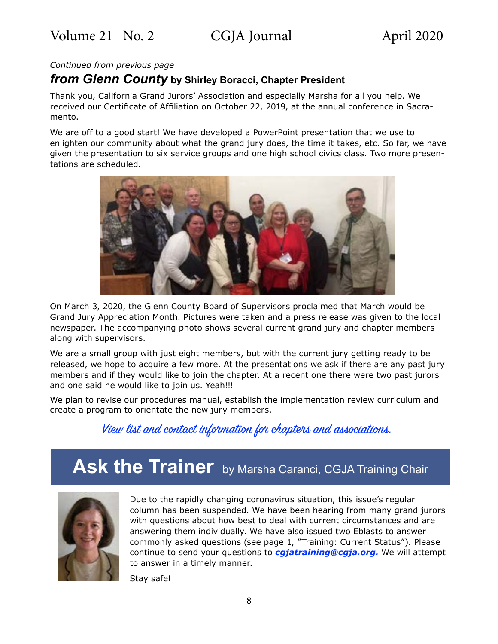### *Continued from previous page*

### *from Glenn County* **by Shirley Boracci, Chapter President**

Thank you, California Grand Jurors' Association and especially Marsha for all you help. We received our Certificate of Affiliation on October 22, 2019, at the annual conference in Sacramento.

We are off to a good start! We have developed a PowerPoint presentation that we use to enlighten our community about what the grand jury does, the time it takes, etc. So far, we have given the presentation to six service groups and one high school civics class. Two more presentations are scheduled.



On March 3, 2020, the Glenn County Board of Supervisors proclaimed that March would be Grand Jury Appreciation Month. Pictures were taken and a press release was given to the local newspaper. The accompanying photo shows several current grand jury and chapter members along with supervisors.

We are a small group with just eight members, but with the current jury getting ready to be released, we hope to acquire a few more. At the presentations we ask if there are any past jury members and if they would like to join the chapter. At a recent one there were two past jurors and one said he would like to join us. Yeah!!!

We plan to revise our procedures manual, establish the implementation review curriculum and create a program to orientate the new jury members.

## [View list and contact information for chapters and associations.](https://cgja.org/chapters-and-associations)

# Ask the Trainer by Marsha Caranci, CGJA Training Chair



Due to the rapidly changing coronavirus situation, this issue's regular column has been suspended. We have been hearing from many grand jurors with questions about how best to deal with current circumstances and are answering them individually. We have also issued two Eblasts to answer commonly asked questions (see page 1, "Training: Current Status"). Please continue to send your questions to *[cgjatraining@cgja.org](mailto:cgjatraining@cgja.org?SUBJECT=CGJA training).* We will attempt to answer in a timely manner.

Stay safe!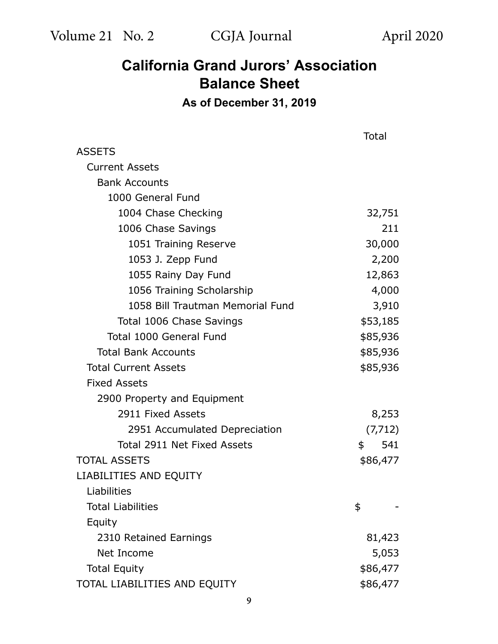# **California Grand Jurors' Association Balance Sheet**

**As of December 31, 2019**

|                                    | Total     |
|------------------------------------|-----------|
| <b>ASSETS</b>                      |           |
| <b>Current Assets</b>              |           |
| <b>Bank Accounts</b>               |           |
| 1000 General Fund                  |           |
| 1004 Chase Checking                | 32,751    |
| 1006 Chase Savings                 | 211       |
| 1051 Training Reserve              | 30,000    |
| 1053 J. Zepp Fund                  | 2,200     |
| 1055 Rainy Day Fund                | 12,863    |
| 1056 Training Scholarship          | 4,000     |
| 1058 Bill Trautman Memorial Fund   | 3,910     |
| Total 1006 Chase Savings           | \$53,185  |
| Total 1000 General Fund            | \$85,936  |
| <b>Total Bank Accounts</b>         | \$85,936  |
| <b>Total Current Assets</b>        | \$85,936  |
| <b>Fixed Assets</b>                |           |
| 2900 Property and Equipment        |           |
| 2911 Fixed Assets                  | 8,253     |
| 2951 Accumulated Depreciation      | (7, 712)  |
| <b>Total 2911 Net Fixed Assets</b> | 541<br>\$ |
| <b>TOTAL ASSETS</b>                | \$86,477  |
| LIABILITIES AND EQUITY             |           |
| Liabilities                        |           |
| <b>Total Liabilities</b>           | \$        |
| Equity                             |           |
| 2310 Retained Earnings             | 81,423    |
| Net Income                         | 5,053     |
| <b>Total Equity</b>                | \$86,477  |
| TOTAL LIABILITIES AND EQUITY       | \$86,477  |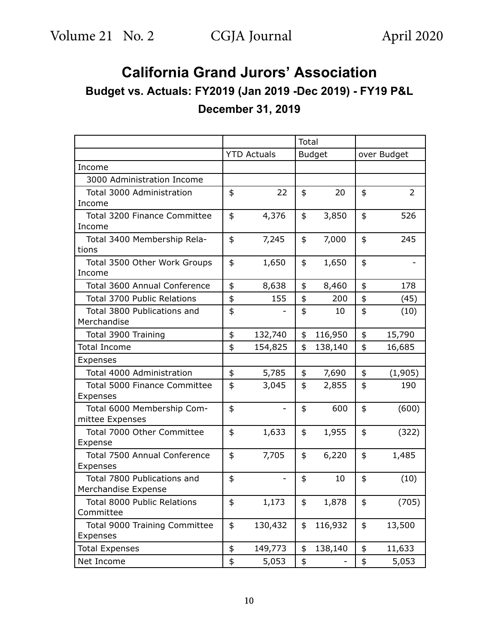# **California Grand Jurors' Association Budget vs. Actuals: FY2019 (Jan 2019 -Dec 2019) - FY19 P&L December 31, 2019**

|                                                    |                    |         | Total         |         |             |                |
|----------------------------------------------------|--------------------|---------|---------------|---------|-------------|----------------|
|                                                    | <b>YTD Actuals</b> |         | <b>Budget</b> |         | over Budget |                |
| Income                                             |                    |         |               |         |             |                |
| 3000 Administration Income                         |                    |         |               |         |             |                |
| Total 3000 Administration<br>Income                | \$                 | 22      | \$            | 20      | \$          | $\overline{2}$ |
| <b>Total 3200 Finance Committee</b><br>Income      | \$                 | 4,376   | \$            | 3,850   | \$          | 526            |
| Total 3400 Membership Rela-<br>tions               | \$                 | 7,245   | \$            | 7,000   | \$          | 245            |
| Total 3500 Other Work Groups<br>Income             | \$                 | 1,650   | \$            | 1,650   | \$          |                |
| <b>Total 3600 Annual Conference</b>                | \$                 | 8,638   | \$            | 8,460   | \$          | 178            |
| <b>Total 3700 Public Relations</b>                 | \$                 | 155     | \$            | 200     | \$          | (45)           |
| Total 3800 Publications and<br>Merchandise         | \$                 |         | \$            | 10      | \$          | (10)           |
| Total 3900 Training                                | \$                 | 132,740 | \$            | 116,950 | \$          | 15,790         |
| <b>Total Income</b>                                | \$                 | 154,825 | \$            | 138,140 | \$          | 16,685         |
| Expenses                                           |                    |         |               |         |             |                |
| Total 4000 Administration                          | \$                 | 5,785   | \$            | 7,690   | \$          | (1,905)        |
| <b>Total 5000 Finance Committee</b><br>Expenses    | \$                 | 3,045   | \$            | 2,855   | \$          | 190            |
| Total 6000 Membership Com-<br>mittee Expenses      | \$                 |         | \$            | 600     | \$          | (600)          |
| Total 7000 Other Committee<br>Expense              | \$                 | 1,633   | \$            | 1,955   | \$          | (322)          |
| <b>Total 7500 Annual Conference</b><br>Expenses    | \$                 | 7,705   | \$            | 6,220   | \$          | 1,485          |
| Total 7800 Publications and<br>Merchandise Expense | \$                 |         | \$            | 10      | \$          | (10)           |
| Total 8000 Public Relations<br>Committee           | \$                 | 1,173   | \$            | 1,878   | \$          | (705)          |
| Total 9000 Training Committee<br>Expenses          | \$                 | 130,432 | \$            | 116,932 | \$          | 13,500         |
| <b>Total Expenses</b>                              | \$                 | 149,773 | \$            | 138,140 | \$          | 11,633         |
| Net Income                                         | \$                 | 5,053   | \$            |         | \$          | 5,053          |